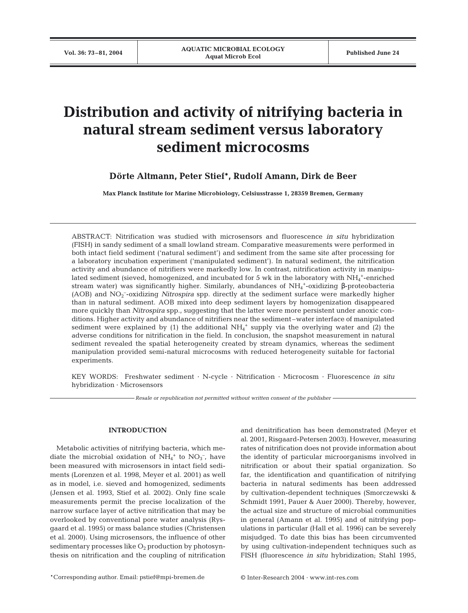# **Distribution and activity of nitrifying bacteria in natural stream sediment versus laboratory sediment microcosms**

**Dörte Altmann, Peter Stief\*, Rudolf Amann, Dirk de Beer**

**Max Planck Institute for Marine Microbiology, Celsiusstrasse 1, 28359 Bremen, Germany**

ABSTRACT: Nitrification was studied with microsensors and fluorescence *in situ* hybridization (FISH) in sandy sediment of a small lowland stream. Comparative measurements were performed in both intact field sediment ('natural sediment') and sediment from the same site after processing for a laboratory incubation experiment ('manipulated sediment'). In natural sediment, the nitrification activity and abundance of nitrifiers were markedly low. In contrast, nitrification activity in manipulated sediment (sieved, homogenized, and incubated for 5 wk in the laboratory with  $\mathrm{NH}_4{}^+$ -enriched stream water) was significantly higher. Similarly, abundances of NH<sub>4</sub><sup>+</sup>-oxidizing β-proteobacteria (AOB) and NO<sub>2</sub><sup>-</sup>-oxidizing *Nitrospira* spp. directly at the sediment surface were markedly higher than in natural sediment. AOB mixed into deep sediment layers by homogenization disappeared more quickly than *Nitrospira* spp., suggesting that the latter were more persistent under anoxic conditions. Higher activity and abundance of nitrifiers near the sediment–water interface of manipulated sediment were explained by  $(1)$  the additional NH<sub>4</sub><sup>+</sup> supply via the overlying water and  $(2)$  the adverse conditions for nitrification in the field. In conclusion, the snapshot measurement in natural sediment revealed the spatial heterogeneity created by stream dynamics, whereas the sediment manipulation provided semi-natural microcosms with reduced heterogeneity suitable for factorial experiments.

KEY WORDS: Freshwater sediment · N-cycle · Nitrification · Microcosm · Fluorescence *in situ* hybridization · Microsensors

*Resale or republication not permitted without written consent of the publisher*

## **INTRODUCTION**

Metabolic activities of nitrifying bacteria, which mediate the microbial oxidation of  $NH_4^+$  to  $NO_3^-$ , have been measured with microsensors in intact field sediments (Lorenzen et al. 1998, Meyer et al. 2001) as well as in model, i.e. sieved and homogenized, sediments (Jensen et al. 1993, Stief et al. 2002). Only fine scale measurements permit the precise localization of the narrow surface layer of active nitrification that may be overlooked by conventional pore water analysis (Rysgaard et al. 1995) or mass balance studies (Christensen et al. 2000). Using microsensors, the influence of other sedimentary processes like  $O_2$  production by photosynthesis on nitrification and the coupling of nitrification

and denitrification has been demonstrated (Meyer et al. 2001, Risgaard-Petersen 2003). However, measuring rates of nitrification does not provide information about the identity of particular microorganisms involved in nitrification or about their spatial organization. So far, the identification and quantification of nitrifying bacteria in natural sediments has been addressed by cultivation-dependent techniques (Smorczewski & Schmidt 1991, Pauer & Auer 2000). Thereby, however, the actual size and structure of microbial communities in general (Amann et al. 1995) and of nitrifying populations in particular (Hall et al. 1996) can be severely misjudged. To date this bias has been circumvented by using cultivation-independent techniques such as FISH (fluorescence *in situ* hybridization; Stahl 1995,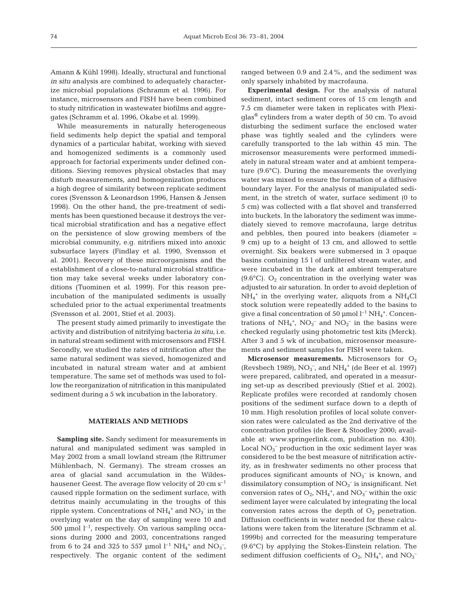Amann & Kühl 1998). Ideally, structural and functional *in situ* analysis are combined to adequately characterize microbial populations (Schramm et al. 1996). For instance, microsensors and FISH have been combined to study nitrification in wastewater biofilms and aggregates (Schramm et al. 1996, Okabe et al. 1999).

While measurements in naturally heterogeneous field sediments help depict the spatial and temporal dynamics of a particular habitat, working with sieved and homogenized sediments is a commonly used approach for factorial experiments under defined conditions. Sieving removes physical obstacles that may disturb measurements, and homogenization produces a high degree of similarity between replicate sediment cores (Svensson & Leonardson 1996, Hansen & Jensen 1998). On the other hand, the pre-treatment of sediments has been questioned because it destroys the vertical microbial stratification and has a negative effect on the persistence of slow growing members of the microbial community, e.g. nitrifiers mixed into anoxic subsurface layers (Findlay et al. 1990, Svensson et al. 2001). Recovery of these microorganisms and the establishment of a close-to-natural microbial stratification may take several weeks under laboratory conditions (Tuominen et al. 1999). For this reason preincubation of the manipulated sediments is usually scheduled prior to the actual experimental treatments (Svensson et al. 2001, Stief et al. 2003).

The present study aimed primarily to investigate the activity and distribution of nitrifying bacteria *in situ*, i.e. in natural stream sediment with microsensors and FISH. Secondly, we studied the rates of nitrification after the same natural sediment was sieved, homogenized and incubated in natural stream water and at ambient temperature. The same set of methods was used to follow the reorganization of nitrification in this manipulated sediment during a 5 wk incubation in the laboratory.

## **MATERIALS AND METHODS**

**Sampling site.** Sandy sediment for measurements in natural and manipulated sediment was sampled in May 2002 from a small lowland stream (the Rittrumer Mühlenbach, N. Germany). The stream crosses an area of glacial sand accumulation in the Wildeshausener Geest. The average flow velocity of 20  $\text{cm s}^{-1}$ caused ripple formation on the sediment surface, with detritus mainly accumulating in the troughs of this ripple system. Concentrations of  $NH_4^+$  and  $NO_3^-$  in the overlying water on the day of sampling were 10 and 500 µmol  $l^{-1}$ , respectively. On various sampling occasions during 2000 and 2003, concentrations ranged from 6 to 24 and 325 to 557 µmol  $l^{-1}$  NH<sub>4</sub><sup>+</sup> and NO<sub>3</sub><sup>-</sup>, respectively. The organic content of the sediment

ranged between 0.9 and 2.4%, and the sediment was only sparsely inhabited by macrofauna.

**Experimental design.** For the analysis of natural sediment, intact sediment cores of 15 cm length and 7.5 cm diameter were taken in replicates with Plexiglas® cylinders from a water depth of 50 cm. To avoid disturbing the sediment surface the enclosed water phase was tightly sealed and the cylinders were carefully transported to the lab within 45 min. The microsensor measurements were performed immediately in natural stream water and at ambient temperature (9.6°C). During the measurements the overlying water was mixed to ensure the formation of a diffusive boundary layer. For the analysis of manipulated sediment, in the stretch of water, surface sediment (0 to 5 cm) was collected with a flat shovel and transferred into buckets. In the laboratory the sediment was immediately sieved to remove macrofauna, large detritus and pebbles, then poured into beakers (diameter = 9 cm) up to a height of 13 cm, and allowed to settle overnight. Six beakers were submersed in 3 opaque basins containing 15 l of unfiltered stream water, and were incubated in the dark at ambient temperature (9.6 $^{\circ}$ C). O<sub>2</sub> concentration in the overlying water was adjusted to air saturation. In order to avoid depletion of NH4 <sup>+</sup> in the overlying water, aliquots from a NH4Cl stock solution were repeatedly added to the basins to give a final concentration of 50  $\mu$ mol  $l^{-1}NH_4^+$ . Concentrations of  $NH_4^+$ ,  $NO_3^-$  and  $NO_2^-$  in the basins were checked regularly using photometric test kits (Merck). After 3 and 5 wk of incubation, microsensor measurements and sediment samples for FISH were taken.

**Microsensor measurements.** Microsensors for  $O_2$ (Revsbech 1989),  $NO<sub>3</sub><sup>-</sup>$ , and  $NH<sub>4</sub><sup>+</sup>$  (de Beer et al. 1997) were prepared, calibrated, and operated in a measuring set-up as described previously (Stief et al. 2002). Replicate profiles were recorded at randomly chosen positions of the sediment surface down to a depth of 10 mm. High resolution profiles of local solute conversion rates were calculated as the 2nd derivative of the concentration profiles (de Beer & Stoodley 2000; available at: www.springerlink.com, publication no. 430). Local NO<sub>3</sub><sup>-</sup> production in the oxic sediment layer was considered to be the best measure of nitrification activity, as in freshwater sediments no other process that produces significant amounts of  $NO<sub>3</sub><sup>-</sup>$  is known, and dissimilatory consumption of  $\mathrm{NO_3}^-$  is insignificant. Net conversion rates of  $O_2$ ,  $NH_4^+$ , and  $NO_3^-$  within the oxic sediment layer were calculated by integrating the local conversion rates across the depth of  $O_2$  penetration. Diffusion coefficients in water needed for these calculations were taken from the literature (Schramm et al. 1999b) and corrected for the measuring temperature (9.6°C) by applying the Stokes-Einstein relation. The sediment diffusion coefficients of  $O_2$ , NH<sub>4</sub><sup>+</sup>, and NO<sub>3</sub><sup>-</sup>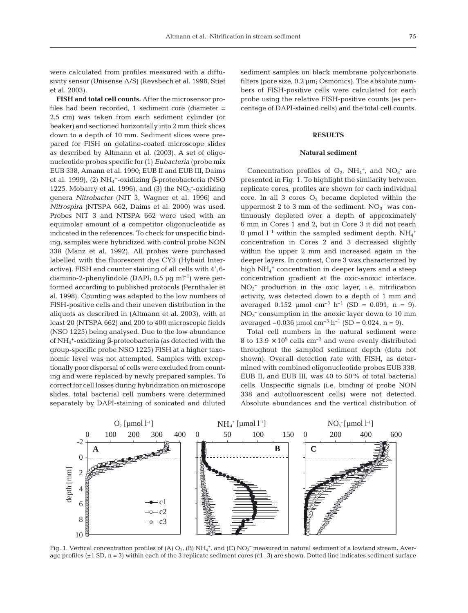were calculated from profiles measured with a diffusivity sensor (Unisense A/S) (Revsbech et al. 1998, Stief et al. 2003).

**FISH and total cell counts.** After the microsensor profiles had been recorded, 1 sediment core (diameter = 2.5 cm) was taken from each sediment cylinder (or beaker) and sectioned horizontally into 2 mm thick slices down to a depth of 10 mm. Sediment slices were prepared for FISH on gelatine-coated microscope slides as described by Altmann et al. (2003). A set of oligonucleotide probes specific for (1) *Eubacteria* (probe mix EUB 338, Amann et al. 1990; EUB II and EUB III, Daims et al. 1999), (2) NH<sub>4</sub><sup>+</sup>-oxidizing β-proteobacteria (NSO 1225, Mobarry et al. 1996), and (3) the  $NO<sub>2</sub>$ -oxidizing genera *Nitrobacter* (NIT 3, Wagner et al. 1996) and *Nitrospira* (NTSPA 662, Daims et al. 2000) was used. Probes NIT 3 and NTSPA 662 were used with an equimolar amount of a competitor oligonucleotide as indicated in the references. To check for unspecific binding, samples were hybridized with control probe NON 338 (Manz et al. 1992). All probes were purchased labelled with the fluorescent dye CY3 (Hybaid Interactiva). FISH and counter staining of all cells with 4',6 diamino-2-phenylindole (DAPI;  $0.5 \mu g$  ml<sup>-1</sup>) were performed according to published protocols (Pernthaler et al. 1998). Counting was adapted to the low numbers of FISH-positive cells and their uneven distribution in the aliquots as described in (Altmann et al. 2003), with at least 20 (NTSPA 662) and 200 to 400 microscopic fields (NSO 1225) being analysed. Due to the low abundance of NH4 +-oxidizing β-proteobacteria (as detected with the group-specific probe NSO 1225) FISH at a higher taxonomic level was not attempted. Samples with exceptionally poor dispersal of cells were excluded from counting and were replaced by newly prepared samples. To correct for cell losses during hybridization on microscope slides, total bacterial cell numbers were determined separately by DAPI-staining of sonicated and diluted

sediment samples on black membrane polycarbonate filters (pore size, 0.2 µm; Osmonics). The absolute numbers of FISH-positive cells were calculated for each probe using the relative FISH-positive counts (as percentage of DAPI-stained cells) and the total cell counts.

#### **RESULTS**

#### **Natural sediment**

Concentration profiles of  $O_2$ , NH<sub>4</sub><sup>+</sup>, and NO<sub>3</sub><sup>-</sup> are presented in Fig. 1. To highlight the similarity between replicate cores, profiles are shown for each individual core. In all 3 cores  $O_2$  became depleted within the uppermost 2 to 3 mm of the sediment.  $NO<sub>3</sub><sup>-</sup>$  was continuously depleted over a depth of approximately 6 mm in Cores 1 and 2, but in Core 3 it did not reach 0 µmol  $l^{-1}$  within the sampled sediment depth.  $NH_4^+$ concentration in Cores 2 and 3 decreased slightly within the upper 2 mm and increased again in the deeper layers. In contrast, Core 3 was characterized by high NH<sub>4</sub><sup>+</sup> concentration in deeper layers and a steep concentration gradient at the oxic-anoxic interface. NO3 – production in the oxic layer, i.e. nitrification activity, was detected down to a depth of 1 mm and averaged 0.152  $\mu$ mol cm<sup>-3</sup> h<sup>-1</sup> (SD = 0.091, n = 9).  $NO<sub>3</sub><sup>-</sup>$  consumption in the anoxic layer down to 10 mm averaged  $-0.036$  µmol cm<sup>-3</sup> h<sup>-1</sup> (SD = 0.024, n = 9).

Total cell numbers in the natural sediment were 8 to  $13.9 \times 10^9$  cells cm<sup>-3</sup> and were evenly distributed throughout the sampled sediment depth (data not shown). Overall detection rate with FISH, as determined with combined oligonucleotide probes EUB 338, EUB II, and EUB III, was 40 to 50% of total bacterial cells. Unspecific signals (i.e. binding of probe NON 338 and autofluorescent cells) were not detected. Absolute abundances and the vertical distribution of



Fig. 1. Vertical concentration profiles of (A)  $O_2$ , (B)  $NH_4^*$ , and (C)  $NO_3^-$  measured in natural sediment of a lowland stream. Average profiles  $(\pm 1 \text{ SD}, n = 3)$  within each of the 3 replicate sediment cores  $(c1-3)$  are shown. Dotted line indicates sediment surface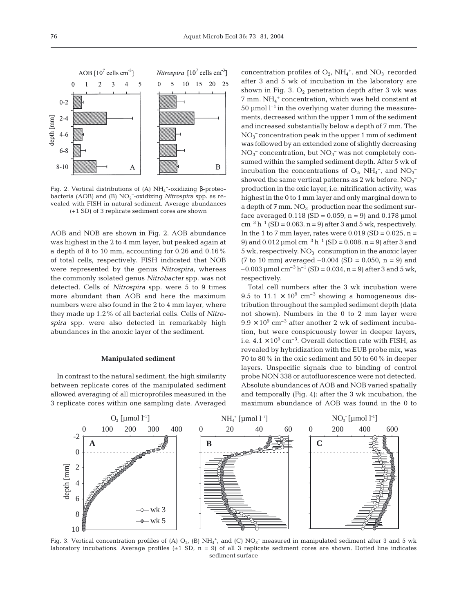

Fig. 2. Vertical distributions of (A)  $NH_4^+$ -oxidizing β-proteobacteria (AOB) and (B) NO<sub>2</sub><sup>-</sup>-oxidizing *Nitrospira* spp. as revealed with FISH in natural sediment. Average abundances (+1 SD) of 3 replicate sediment cores are shown

AOB and NOB are shown in Fig. 2. AOB abundance was highest in the 2 to 4 mm layer, but peaked again at a depth of 8 to 10 mm, accounting for 0.26 and 0.16% of total cells, respectively. FISH indicated that NOB were represented by the genus *Nitrospira*, whereas the commonly isolated genus *Nitrobacter* spp. was not detected. Cells of *Nitrospira* spp. were 5 to 9 times more abundant than AOB and here the maximum numbers were also found in the 2 to 4 mm layer, where they made up 1.2% of all bacterial cells. Cells of *Nitrospira* spp. were also detected in remarkably high abundances in the anoxic layer of the sediment.

# **Manipulated sediment**

In contrast to the natural sediment, the high similarity between replicate cores of the manipulated sediment allowed averaging of all microprofiles measured in the 3 replicate cores within one sampling date. Averaged

concentration profiles of  $O_2$ , NH<sub>4</sub><sup>+</sup>, and NO<sub>3</sub><sup>-</sup> recorded after 3 and 5 wk of incubation in the laboratory are shown in Fig. 3.  $O_2$  penetration depth after 3 wk was 7 mm. NH4 <sup>+</sup> concentration, which was held constant at 50 µmol  $l^{-1}$  in the overlying water during the measurements, decreased within the upper 1 mm of the sediment and increased substantially below a depth of 7 mm. The NO3 – concentration peak in the upper 1 mm of sediment was followed by an extended zone of slightly decreasing  $NO<sub>3</sub><sup>-</sup> concentration, but  $NO<sub>3</sub><sup>-</sup>$  was not completely con$ sumed within the sampled sediment depth. After 5 wk of incubation the concentrations of  $O_2$ ,  $NH_4^+$ , and  $NO_3^$ showed the same vertical patterns as 2 wk before.  $\mathrm{NO_3}^$ production in the oxic layer, i.e. nitrification activity, was highest in the 0 to 1 mm layer and only marginal down to a depth of  $7 \text{ mm}$ .  $\text{NO}_3^-$  production near the sediment surface averaged  $0.118$  (SD = 0.059, n = 9) and 0.178 µmol  $cm^{-3} h^{-1}$  (SD = 0.063, n = 9) after 3 and 5 wk, respectively. In the 1 to 7 mm layer, rates were  $0.019$  (SD =  $0.025$ , n = 9) and 0.012  $\mu$ mol cm<sup>-3</sup> h<sup>-1</sup> (SD = 0.008, n = 9) after 3 and  $5$  wk, respectively.  $NO<sub>3</sub><sup>-</sup>$  consumption in the anoxic layer  $(7 \text{ to } 10 \text{ mm})$  averaged  $-0.004$  (SD = 0.050, n = 9) and  $-0.003$  µmol cm<sup>-3</sup> h<sup>-1</sup> (SD = 0.034, n = 9) after 3 and 5 wk, respectively.

Total cell numbers after the 3 wk incubation were 9.5 to 11.1  $\times$  10<sup>9</sup> cm<sup>-3</sup> showing a homogeneous distribution throughout the sampled sediment depth (data not shown). Numbers in the 0 to 2 mm layer were  $9.9 \times 10^9$  cm<sup>-3</sup> after another 2 wk of sediment incubation, but were conspicuously lower in deeper layers, i.e.  $4.1 \times 10^9$  cm<sup>-3</sup>. Overall detection rate with FISH, as revealed by hybridization with the EUB probe mix, was 70 to 80% in the oxic sediment and 50 to 60% in deeper layers. Unspecific signals due to binding of control probe NON 338 or autofluorescence were not detected. Absolute abundances of AOB and NOB varied spatially and temporally (Fig. 4): after the 3 wk incubation, the maximum abundance of AOB was found in the 0 to



Fig. 3. Vertical concentration profiles of (A)  $O_2$ , (B) NH<sub>4</sub><sup>+</sup>, and (C) NO<sub>3</sub><sup>-</sup> measured in manipulated sediment after 3 and 5 wk laboratory incubations. Average profiles  $(\pm 1 \text{ SD}, n = 9)$  of all 3 replicate sediment cores are shown. Dotted line indicates sediment surface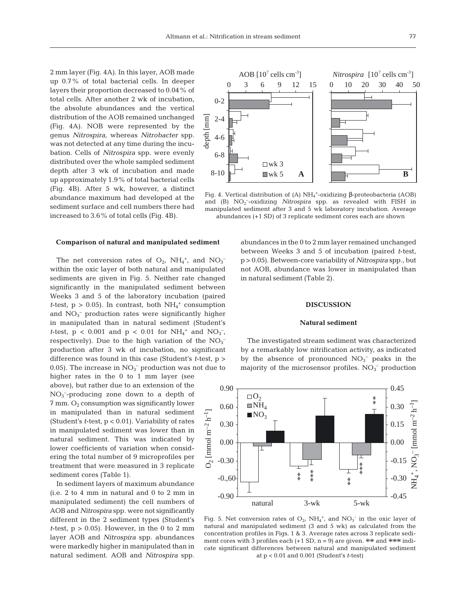$0 - 2$ 

0.00

0.30

0.60

0.90

 $\Box$  O<sub>2</sub>  $\blacksquare$  NH<sub>4</sub>  $\blacksquare$ NO<sub>3</sub>

0369 12 15

AOB  $[10^7 \text{ cells cm}^3]$ 

2 mm layer (Fig. 4A). In this layer, AOB made up 0.7% of total bacterial cells. In deeper layers their proportion decreased to 0.04% of total cells. After another 2 wk of incubation, the absolute abundances and the vertical distribution of the AOB remained unchanged (Fig. 4A). NOB were represented by the genus *Nitrospira*, whereas *Nitrobacter* spp. was not detected at any time during the incubation. Cells of *Nitrospira* spp. were evenly distributed over the whole sampled sediment depth after 3 wk of incubation and made up approximately 1.9% of total bacterial cells (Fig. 4B). After 5 wk, however, a distinct abundance maximum had developed at the sediment surface and cell numbers there had increased to 3.6% of total cells (Fig. 4B).

#### **Comparison of natural and manipulated sediment**

The net conversion rates of  $O_2$ ,  $NH_4^+$ , and  $NO_3^$ within the oxic layer of both natural and manipulated sediments are given in Fig. 5. Neither rate changed significantly in the manipulated sediment between Weeks 3 and 5 of the laboratory incubation (paired *t*-test,  $p > 0.05$ ). In contrast, both  $NH_4^+$  consumption and  $NO<sub>3</sub><sup>-</sup>$  production rates were significantly higher in manipulated than in natural sediment (Student's *t*-test,  $p < 0.001$  and  $p < 0.01$  for  $NH_4^+$  and  $NO_3^-$ , respectively). Due to the high variation of the  $NO<sub>3</sub>$ <sup>-</sup> production after 3 wk of incubation, no significant difference was found in this case (Student's *t*-test, p > 0.05). The increase in  $NO<sub>3</sub><sup>-</sup>$  production was not due to

higher rates in the 0 to 1 mm layer (see above), but rather due to an extension of the NO3 – -producing zone down to a depth of  $7 \text{ mm}$ . O<sub>2</sub> consumption was significantly lower in manipulated than in natural sediment (Student's *t*-test, p < 0.01). Variability of rates in manipulated sediment was lower than in natural sediment. This was indicated by lower coefficients of variation when considering the total number of 9 microprofiles per treatment that were measured in 3 replicate sediment cores (Table 1).

In sediment layers of maximum abundance (i.e. 2 to 4 mm in natural and 0 to 2 mm in manipulated sediment) the cell numbers of AOB and *Nitrospira* spp. were not significantly different in the 2 sediment types (Student's *t*-test,  $p > 0.05$ . However, in the 0 to 2 mm layer AOB and *Nitrospira* spp. abundances were markedly higher in manipulated than in natural sediment. AOB and *Nitrospira* spp.

abundances in the 0 to 2 mm layer remained unchanged between Weeks 3 and 5 of incubation (paired *t*-test, p > 0.05). Between-core variability of *Nitrospira* spp., but not AOB, abundance was lower in manipulated than in natural sediment (Table 2).

#### **DISCUSSION**

## **Natural sediment**

The investigated stream sediment was characterized by a remarkably low nitrification activity, as indicated by the absence of pronounced  $NO<sub>3</sub><sup>-</sup>$  peaks in the majority of the microsensor profiles.  $NO<sub>3</sub><sup>-</sup>$  production

0.00

0.15

 $\mathrm{mmol\ m}^{-2}$ 

0.30

\*\*

0.45



at p < 0.01 and 0.001 (Student's *t*-test)



Fig. 4. Vertical distribution of (A)  $NH_4$ <sup>+</sup>-oxidizing β-proteobacteria (AOB) and (B) NO<sub>2</sub><sup>-</sup>-oxidizing *Nitrospira* spp. as revealed with FISH in manipulated sediment after 3 and 5 wk laboratory incubation. Average abundances (+1 SD) of 3 replicate sediment cores each are shown

0 10 20 30 40 50 *Nitrospira* [10<sup>7</sup> cells cm<sup>-3</sup>]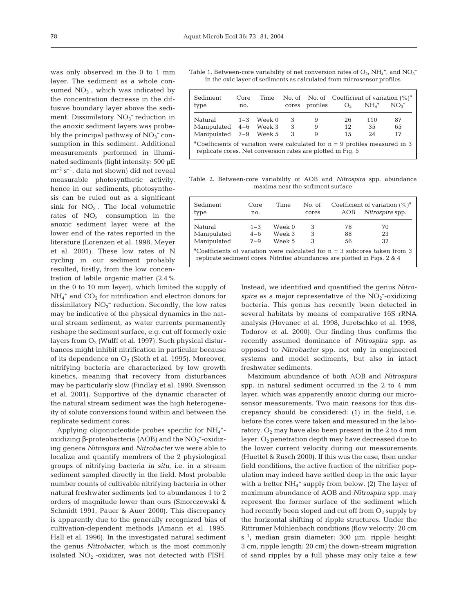was only observed in the 0 to 1 mm layer. The sediment as a whole consumed  $NO<sub>3</sub><sup>-</sup>$ , which was indicated by the concentration decrease in the diffusive boundary layer above the sediment. Dissimilatory  $NO<sub>3</sub><sup>-</sup>$  reduction in the anoxic sediment layers was probably the principal pathway of  $NO<sub>3</sub><sup>-</sup>$  consumption in this sediment. Additional measurements performed in illuminated sediments (light intensity: 500 µE  $m^{-2}$  s<sup>-1</sup>, data not shown) did not reveal measurable photosynthetic activity, hence in our sediments, photosynthesis can be ruled out as a significant sink for  $NO<sub>3</sub>^-$ . The local volumetric rates of  $NO<sub>3</sub><sup>-</sup>$  consumption in the anoxic sediment layer were at the lower end of the rates reported in the literature (Lorenzen et al. 1998, Meyer et al. 2001). These low rates of N cycling in our sediment probably resulted, firstly, from the low concentration of labile organic matter (2.4%

in the 0 to 10 mm layer), which limited the supply of  $NH_4^+$  and  $CO_2$  for nitrification and electron donors for dissimilatory  $NO<sub>3</sub><sup>-</sup>$  reduction. Secondly, the low rates may be indicative of the physical dynamics in the natural stream sediment, as water currents permanently reshape the sediment surface, e.g. cut off formerly oxic layers from  $O_2$  (Wulff et al. 1997). Such physical disturbances might inhibit nitrification in particular because of its dependence on  $O_2$  (Sloth et al. 1995). Moreover, nitrifying bacteria are characterized by low growth kinetics, meaning that recovery from disturbances may be particularly slow (Findlay et al. 1990, Svensson et al. 2001). Supportive of the dynamic character of the natural stream sediment was the high heterogeneity of solute conversions found within and between the replicate sediment cores.

Applying oligonucleotide probes specific for  $NH_4$ <sup>+</sup>oxidizing β-proteobacteria (AOB) and the  $NO<sub>2</sub>$ <sup>-</sup>-oxidizing genera *Nitrospira* and *Nitrobacter* we were able to localize and quantify members of the 2 physiological groups of nitrifying bacteria *in situ*, i.e. in a stream sediment sampled directly in the field. Most probable number counts of cultivable nitrifying bacteria in other natural freshwater sediments led to abundances 1 to 2 orders of magnitude lower than ours (Smorczewski & Schmidt 1991, Pauer & Auer 2000). This discrepancy is apparently due to the generally recognized bias of cultivation-dependent methods (Amann et al. 1995, Hall et al. 1996). In the investigated natural sediment the genus *Nitrobacter*, which is the most commonly isolated  $NO<sub>2</sub>$ -oxidizer, was not detected with FISH.

Table 1. Between-core variability of net conversion rates of  $O_2$ ,  $NH_4^+$ , and  $NO_3^$ in the oxic layer of sediments as calculated from microsensor profiles

| Sediment<br>type                                                                                                                                         | Core<br>no. | Time   |             | cores profiles | No. of No. of Coefficient of variation $(\%)^a$<br>O <sub>2</sub> | $NH4$ <sup>+</sup> | NO <sub>2</sub> |  |  |
|----------------------------------------------------------------------------------------------------------------------------------------------------------|-------------|--------|-------------|----------------|-------------------------------------------------------------------|--------------------|-----------------|--|--|
| Natural<br>Manipulated 4-6 Week 3<br>Manipulated 7-9 Week 5                                                                                              | $1 - 3$     | Week 0 | 3<br>3<br>3 | 9<br>9<br>9    | 26<br>12<br>1.5                                                   | 110<br>35<br>2.4   | 87<br>65<br>17  |  |  |
| <sup>a</sup> Coefficients of variation were calculated for $n = 9$ profiles measured in 3<br>replicate cores. Net conversion rates are plotted in Fig. 5 |             |        |             |                |                                                                   |                    |                 |  |  |

Table 2. Between-core variability of AOB and *Nitrospira* spp. abundance maxima near the sediment surface

| Sediment<br>type                                                                                                                                                      | Core<br>no.                   | Time                       | No. of<br>cores | AOB            | Coefficient of variation $(\%)^a$<br>Nitrospira spp. |  |  |  |  |
|-----------------------------------------------------------------------------------------------------------------------------------------------------------------------|-------------------------------|----------------------------|-----------------|----------------|------------------------------------------------------|--|--|--|--|
| Natural<br>Manipulated<br>Manipulated                                                                                                                                 | $1 - 3$<br>$4 - 6$<br>$7 - 9$ | Week 0<br>Week 3<br>Week 5 | З<br>3<br>3     | 78<br>88<br>56 | 70<br>23<br>32                                       |  |  |  |  |
| <sup>a</sup> Coefficients of variation were calculated for $n = 3$ subcores taken from 3<br>replicate sediment cores. Nitrifier abundances are plotted in Figs. 2 & 4 |                               |                            |                 |                |                                                      |  |  |  |  |

Instead, we identified and quantified the genus *Nitro*spira as a major representative of the  $NO<sub>2</sub>$ -oxidizing bacteria. This genus has recently been detected in several habitats by means of comparative 16S rRNA analysis (Hovanec et al. 1998, Juretschko et al. 1998, Todorov et al. 2000). Our finding thus confirms the recently assumed dominance of *Nitrospira* spp. as opposed to *Nitrobacter* spp. not only in engineered systems and model sediments, but also in intact freshwater sediments.

Maximum abundance of both AOB and *Nitrospira* spp. in natural sediment occurred in the 2 to 4 mm layer, which was apparently anoxic during our microsensor measurements. Two main reasons for this discrepancy should be considered: (1) in the field, i.e. before the cores were taken and measured in the laboratory,  $O_2$  may have also been present in the 2 to 4 mm layer.  $O_2$  penetration depth may have decreased due to the lower current velocity during our measurements (Huettel & Rusch 2000). If this was the case, then under field conditions, the active fraction of the nitrifier population may indeed have settled deep in the oxic layer with a better  $NH_4$ <sup>+</sup> supply from below. (2) The layer of maximum abundance of AOB and *Nitrospira* spp. may represent the former surface of the sediment which had recently been sloped and cut off from  $O_2$  supply by the horizontal shifting of ripple structures. Under the Rittrumer Mühlenbach conditions (flow velocity: 20 cm  $s^{-1}$ , median grain diameter: 300 µm, ripple height: 3 cm, ripple length: 20 cm) the down-stream migration of sand ripples by a full phase may only take a few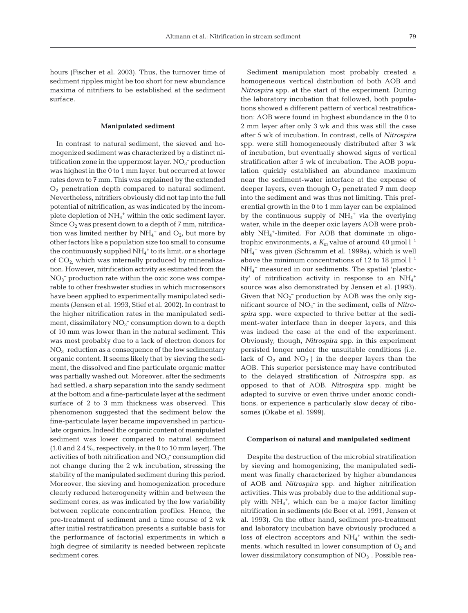hours (Fischer et al. 2003). Thus, the turnover time of sediment ripples might be too short for new abundance maxima of nitrifiers to be established at the sediment surface.

#### **Manipulated sediment**

In contrast to natural sediment, the sieved and homogenized sediment was characterized by a distinct nitrification zone in the uppermost layer.  $NO<sub>3</sub><sup>-</sup>$  production was highest in the 0 to 1 mm layer, but occurred at lower rates down to 7 mm. This was explained by the extended  $O<sub>2</sub>$  penetration depth compared to natural sediment. Nevertheless, nitrifiers obviously did not tap into the full potential of nitrification, as was indicated by the incomplete depletion of  $NH_4^+$  within the oxic sediment layer. Since  $O_2$  was present down to a depth of 7 mm, nitrification was limited neither by  $NH_4^+$  and  $O_2$ , but more by other factors like a population size too small to consume the continuously supplied  $NH_4^+$  to its limit, or a shortage of  $CO<sub>2</sub>$  which was internally produced by mineralization. However, nitrification activity as estimated from the NO3 – production rate within the oxic zone was comparable to other freshwater studies in which microsensors have been applied to experimentally manipulated sediments (Jensen et al. 1993, Stief et al. 2002). In contrast to the higher nitrification rates in the manipulated sediment, dissimilatory  $NO<sub>3</sub><sup>-</sup>$  consumption down to a depth of 10 mm was lower than in the natural sediment. This was most probably due to a lack of electron donors for  $NO<sub>3</sub><sup>-</sup>$  reduction as a consequence of the low sedimentary organic content. It seems likely that by sieving the sediment, the dissolved and fine particulate organic matter was partially washed out. Moreover, after the sediments had settled, a sharp separation into the sandy sediment at the bottom and a fine-particulate layer at the sediment surface of 2 to 3 mm thickness was observed. This phenomenon suggested that the sediment below the fine-particulate layer became impoverished in particulate organics. Indeed the organic content of manipulated sediment was lower compared to natural sediment (1.0 and 2.4%, respectively, in the 0 to 10 mm layer). The activities of both nitrification and  $NO<sub>3</sub><sup>-</sup>$  consumption did not change during the 2 wk incubation, stressing the stability of the manipulated sediment during this period. Moreover, the sieving and homogenization procedure clearly reduced heterogeneity within and between the sediment cores, as was indicated by the low variability between replicate concentration profiles. Hence, the pre-treatment of sediment and a time course of 2 wk after initial restratification presents a suitable basis for the performance of factorial experiments in which a high degree of similarity is needed between replicate sediment cores.

Sediment manipulation most probably created a homogeneous vertical distribution of both AOB and *Nitrospira* spp. at the start of the experiment. During the laboratory incubation that followed, both populations showed a different pattern of vertical restratification: AOB were found in highest abundance in the 0 to 2 mm layer after only 3 wk and this was still the case after 5 wk of incubation. In contrast, cells of *Nitrospira* spp. were still homogeneously distributed after 3 wk of incubation, but eventually showed signs of vertical stratification after 5 wk of incubation. The AOB population quickly established an abundance maximum near the sediment-water interface at the expense of deeper layers, even though  $O_2$  penetrated 7 mm deep into the sediment and was thus not limiting. This preferential growth in the 0 to 1 mm layer can be explained by the continuous supply of  $NH_4$ <sup>+</sup> via the overlying water, while in the deeper oxic layers AOB were probably NH4 +-limited. For AOB that dominate in oligotrophic environments, a  $K_m$  value of around 40  $\mu$ mol  $l^{-1}$ NH4 <sup>+</sup> was given (Schramm et al. 1999a), which is well above the minimum concentrations of 12 to 18  $\mu$ mol l<sup>-1</sup> NH4 <sup>+</sup> measured in our sediments. The spatial 'plasticity' of nitrification activity in response to an  $NH_4^+$ source was also demonstrated by Jensen et al. (1993). Given that  $NO<sub>2</sub><sup>-</sup>$  production by AOB was the only significant source of  $NO_2^-$  in the sediment, cells of *Nitrospira* spp. were expected to thrive better at the sediment-water interface than in deeper layers, and this was indeed the case at the end of the experiment. Obviously, though, *Nitrospira* spp. in this experiment persisted longer under the unsuitable conditions (i.e. lack of  $O_2$  and  $NO_2^-$ ) in the deeper layers than the AOB. This superior persistence may have contributed to the delayed stratification of *Nitrospira* spp. as opposed to that of AOB. *Nitrospira* spp. might be adapted to survive or even thrive under anoxic conditions, or experience a particularly slow decay of ribosomes (Okabe et al. 1999).

#### **Comparison of natural and manipulated sediment**

Despite the destruction of the microbial stratification by sieving and homogenizing, the manipulated sediment was finally characterized by higher abundances of AOB and *Nitrospira* spp. and higher nitrification activities. This was probably due to the additional supply with NH<sub>4</sub><sup>+</sup>, which can be a major factor limiting nitrification in sediments (de Beer et al. 1991, Jensen et al. 1993). On the other hand, sediment pre-treatment and laboratory incubation have obviously produced a loss of electron acceptors and  $NH_4^+$  within the sediments, which resulted in lower consumption of  $O_2$  and lower dissimilatory consumption of  $NO<sub>3</sub><sup>-</sup>$ . Possible rea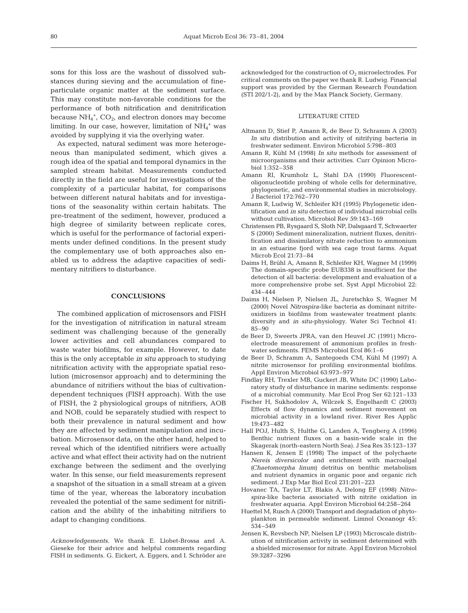sons for this loss are the washout of dissolved substances during sieving and the accumulation of fineparticulate organic matter at the sediment surface. This may constitute non-favorable conditions for the performance of both nitrification and denitrification because  $NH_4^+$ ,  $CO_2$ , and electron donors may become  $\lim$ imiting. In our case, however, limitation of  $\mathrm{NH}_4^+$  was avoided by supplying it via the overlying water.

As expected, natural sediment was more heterogeneous than manipulated sediment, which gives a rough idea of the spatial and temporal dynamics in the sampled stream habitat. Measurements conducted directly in the field are useful for investigations of the complexity of a particular habitat, for comparisons between different natural habitats and for investigations of the seasonality within certain habitats. The pre-treatment of the sediment, however, produced a high degree of similarity between replicate cores, which is useful for the performance of factorial experiments under defined conditions. In the present study the complementary use of both approaches also enabled us to address the adaptive capacities of sedimentary nitrifiers to disturbance.

#### **CONCLUSIONS**

The combined application of microsensors and FISH for the investigation of nitrification in natural stream sediment was challenging because of the generally lower activities and cell abundances compared to waste water biofilms, for example. However, to date this is the only acceptable *in situ* approach to studying nitrification activity with the appropriate spatial resolution (microsensor approach) and to determining the abundance of nitrifiers without the bias of cultivationdependent techniques (FISH approach). With the use of FISH, the 2 physiological groups of nitrifiers, AOB and NOB, could be separately studied with respect to both their prevalence in natural sediment and how they are affected by sediment manipulation and incubation. Microsensor data, on the other hand, helped to reveal which of the identified nitrifiers were actually active and what effect their activity had on the nutrient exchange between the sediment and the overlying water. In this sense, our field measurements represent a snapshot of the situation in a small stream at a given time of the year, whereas the laboratory incubation revealed the potential of the same sediment for nitrification and the ability of the inhabiting nitrifiers to adapt to changing conditions.

*Acknowledgements.* We thank E. Llobet-Brossa and A. Gieseke for their advice and helpful comments regarding FISH in sediments. G. Eickert, A. Eggers, and I. Schröder are acknowledged for the construction of  $O<sub>2</sub>$  microelectrodes. For critical comments on the paper we thank R. Ludwig. Financial support was provided by the German Research Foundation (STI 202/1-2), and by the Max Planck Society, Germany.

#### LITERATURE CITED

- Altmann D, Stief P, Amann R, de Beer D, Schramm A (2003) *In situ* distribution and activity of nitrifying bacteria in freshwater sediment. Environ Microbiol 5:798–803
- Amann R, Kühl M (1998) *In situ* methods for assessment of microorganisms and their activities. Curr Opinion Microbiol 1:352–358
- Amann RI, Krumholz L, Stahl DA (1990) Fluorescentoligonucleotide probing of whole cells for determinative, phylogenetic, and environmental studies in microbiology. J Bacteriol 172:762–770
- Amann R, Ludwig W, Schleifer KH (1995) Phylogenetic identification and *in situ* detection of individual microbial cells without cultivation. Microbiol Rev 59:143–169
- Christensen PB, Rysgaard S, Sloth NP, Dalsgaard T, Schwaerter S (2000) Sediment mineralization, nutrient fluxes, denitrification and dissimilatory nitrate reduction to ammonium in an estuarine fjord with sea cage trout farms. Aquat Microb Ecol 21:73–84
- Daims H, Brühl A, Amann R, Schleifer KH, Wagner M (1999) The domain-specific probe EUB338 is insufficient for the detection of all bacteria: development and evaluation of a more comprehensive probe set. Syst Appl Microbiol 22: 434–444
- Daims H, Nielsen P, Nielsen JL, Juretschko S, Wagner M (2000) Novel *Nitrospira*-like bacteria as dominant nitriteoxidizers in biofilms from wastewater treatment plants: diversity and *in situ*-physiology. Water Sci Technol 41: 85–90
- de Beer D, Sweerts JPRA, van den Heuvel JC (1991) Microelectrode measurement of ammonium profiles in freshwater sediments. FEMS Microbiol Ecol 86:1–6
- de Beer D, Schramm A, Santegoeds CM, Kühl M (1997) A nitrite microsensor for profiling environmental biofilms. Appl Environ Microbiol 63:973–977
- Findlay RH, Trexler MB, Guckert JB, White DC (1990) Laboratory study of disturbance in marine sediments: response of a microbial community. Mar Ecol Prog Ser 62:121–133
- Fischer H, Sukhodolov A, Wilczek S, Engelhardt C (2003) Effects of flow dynamics and sediment movement on microbial activity in a lowland river. River Res Applic 19:473–482
- Hall POJ, Hulth S, Hulthe G, Landen A, Tengberg A (1996) Benthic nutrient fluxes on a basin-wide scale in the Skagerak (north-eastern North Sea). J Sea Res 35:123–137
- Hansen K, Jensen E (1998) The impact of the polychaete *Nereis diversicolor* and enrichment with macroalgal *(Chaetomorpha linum*) detritus on benthic metabolism and nutrient dynamics in organic poor and organic rich sediment. J Exp Mar Biol Ecol 231:201–223
- Hovanec TA, Taylor LT, Blakis A, Delong EF (1998) *Nitrospira*-like bacteria associated with nitrite oxidation in freshwater aquaria. Appl Environ Microbiol 64:258–264
- Huettel M, Rusch A (2000) Transport and degradation of phytoplankton in permeable sediment. Limnol Oceanogr 45: 534–549
- Jensen K, Revsbech NP, Nielsen LP (1993) Microscale distribution of nitrification activity in sediment determined with a shielded microsensor for nitrate. Appl Environ Microbiol 59:3287–3296